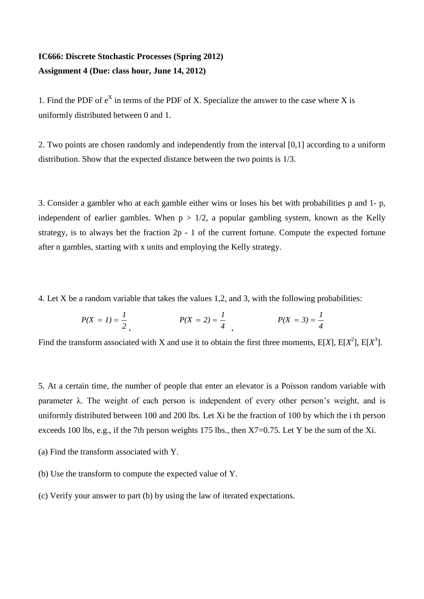## **IC666: Discrete Stochastic Processes (Spring 2012) Assignment 4 (Due: class hour, June 14, 2012)**

1. Find the PDF of  $e^X$  in terms of the PDF of X. Specialize the answer to the case where X is uniformly distributed between 0 and 1.

2. Two points are chosen randomly and independently from the interval [0,1] according to a uniform distribution. Show that the expected distance between the two points is 1/3.

3. Consider a gambler who at each gamble either wins or loses his bet with probabilities p and 1- p, independent of earlier gambles. When  $p > 1/2$ , a popular gambling system, known as the Kelly strategy, is to always bet the fraction 2p - 1 of the current fortune. Compute the expected fortune after n gambles, starting with x units and employing the Kelly strategy.

4. Let X be a random variable that takes the values 1,2, and 3, with the following probabilities:

$$
P(X = 1) = \frac{1}{2}, \qquad P(X = 2) = \frac{1}{4}, \qquad P(X = 3) = \frac{1}{4}
$$

Find the transform associated with X and use it to obtain the first three moments,  $E[X]$ ,  $E[X^2]$ ,  $E[X^3]$ .

5. At a certain time, the number of people that enter an elevator is a Poisson random variable with parameter  $\lambda$ . The weight of each person is independent of every other person's weight, and is uniformly distributed between 100 and 200 lbs. Let Xi be the fraction of 100 by which the i th person exceeds 100 lbs, e.g., if the 7th person weights 175 lbs., then X7=0.75. Let Y be the sum of the Xi.

- (a) Find the transform associated with Y.
- (b) Use the transform to compute the expected value of Y.
- (c) Verify your answer to part (b) by using the law of iterated expectations.